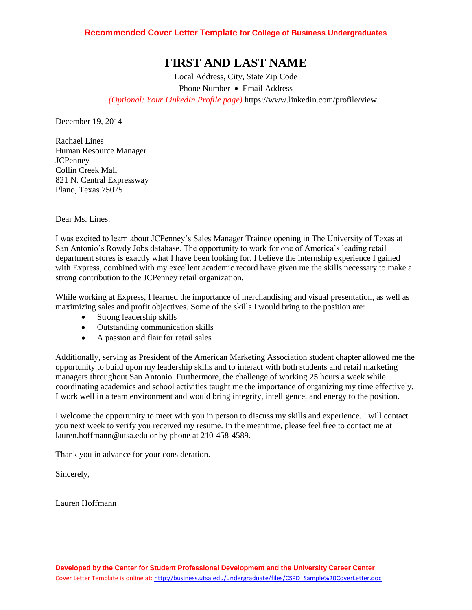## **FIRST AND LAST NAME**

Local Address, City, State Zip Code Phone Number • Email Address *(Optional: Your LinkedIn Profile page)* https://www.linkedin.com/profile/view

December 19, 2014

Rachael Lines Human Resource Manager JCPenney Collin Creek Mall 821 N. Central Expressway Plano, Texas 75075

Dear Ms. Lines:

I was excited to learn about JCPenney's Sales Manager Trainee opening in The University of Texas at San Antonio's Rowdy Jobs database. The opportunity to work for one of America's leading retail department stores is exactly what I have been looking for. I believe the internship experience I gained with Express, combined with my excellent academic record have given me the skills necessary to make a strong contribution to the JCPenney retail organization.

While working at Express, I learned the importance of merchandising and visual presentation, as well as maximizing sales and profit objectives. Some of the skills I would bring to the position are:

- Strong leadership skills
- Outstanding communication skills
- A passion and flair for retail sales

Additionally, serving as President of the American Marketing Association student chapter allowed me the opportunity to build upon my leadership skills and to interact with both students and retail marketing managers throughout San Antonio. Furthermore, the challenge of working 25 hours a week while coordinating academics and school activities taught me the importance of organizing my time effectively. I work well in a team environment and would bring integrity, intelligence, and energy to the position.

I welcome the opportunity to meet with you in person to discuss my skills and experience. I will contact you next week to verify you received my resume. In the meantime, please feel free to contact me at lauren.hoffmann@utsa.edu or by phone at 210-458-4589.

Thank you in advance for your consideration.

Sincerely,

Lauren Hoffmann